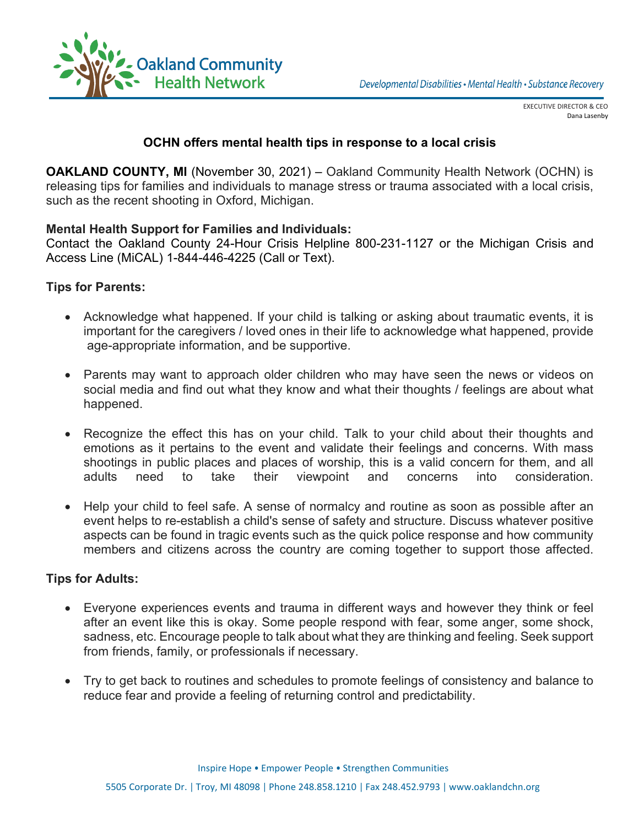

EXECUTIVE DIRECTOR & CEO Dana Lasenby

## **OCHN offers mental health tips in response to a local crisis**

**Attn: Community Editors FOR IMMEDIATE RELEASE Contact: Christine Burk Emily Springer**  releasing tips for families and individuals to manage stress or trauma associated with a local crisis,  **248.975.9684 248.758.1982**  such as the recent shooting in Oxford, Michigan. **OAKLAND COUNTY, MI** (November 30, 2021) – Oakland Community Health Network (OCHN) is

#### **[burkc@occmha.org](mailto:burkc@occmha.org) [springere@oaklandchn.org](https://oaklandchn.sharepoint.com/sites/CommunicationsandCommunityOutreach/Shared%20Documents/General/OnPrem/Media%20Communications/press%20releases/2018/MH%20Tips%20for%20Crisis/springere@oaklandchn.org) Mental Health Support for Families and Individuals:**

Contact the Oakland County 24-Hour Crisis Helpline 800-231-1127 or the Michigan Crisis and Access Line (MiCAL) 1-844-446-4225 (Call or Text).

### **Tips for Parents:**

- Acknowledge what happened. If your child is talking or asking about traumatic events, it is important for the caregivers / loved ones in their life to acknowledge what happened, provide age-appropriate information, and be supportive.
- Parents may want to approach older children who may have seen the news or videos on social media and find out what they know and what their thoughts / feelings are about what happened.
- Recognize the effect this has on your child. Talk to your child about their thoughts and emotions as it pertains to the event and validate their feelings and concerns. With mass shootings in public places and places of worship, this is a valid concern for them, and all adults need to take their viewpoint and concerns into consideration.
- Help your child to feel safe. A sense of normalcy and routine as soon as possible after an event helps to re-establish a child's sense of safety and structure. Discuss whatever positive aspects can be found in tragic events such as the quick police response and how community members and citizens across the country are coming together to support those affected.

#### **Tips for Adults:**

- Everyone experiences events and trauma in different ways and however they think or feel after an event like this is okay. Some people respond with fear, some anger, some shock, sadness, etc. Encourage people to talk about what they are thinking and feeling. Seek support from friends, family, or professionals if necessary.
- Try to get back to routines and schedules to promote feelings of consistency and balance to reduce fear and provide a feeling of returning control and predictability.